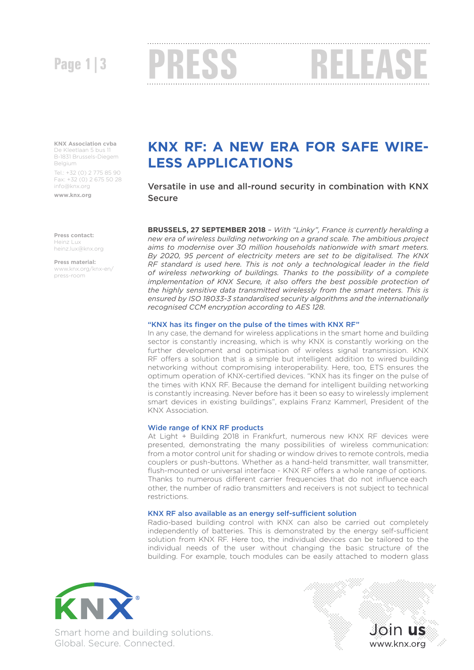# Page 1|3 **PRESS RELEA**

**KNX Association cvba**

De Kleetlaan 5 bus 11 B-1831 Brussels-Diegem **Belgium** Tel.: +32 (0) 2 775 85 90 Fax: +32 (0) 2 675 50 28

info@knx.org

**www.knx.org**

**Press contact:**  Heinz Lux heinz.lux@knx.org

**Press material:** www.knx.org/knx-en/ press-room

## **KNX RF: A NEW ERA FOR SAFE WIRE-LESS APPLICATIONS**

Versatile in use and all-round security in combination with KNX Secure

**BRUSSELS, 27 SEPTEMBER 2018** – *With "Linky", France is currently heralding a new era of wireless building networking on a grand scale. The ambitious project aims to modernise over 30 million households nationwide with smart meters. By 2020, 95 percent of electricity meters are set to be digitalised. The KNX RF standard is used here. This is not only a technological leader in the field of wireless networking of buildings. Thanks to the possibility of a complete implementation of KNX Secure, it also offers the best possible protection of the highly sensitive data transmitted wirelessly from the smart meters. This is ensured by ISO 18033-3 standardised security algorithms and the internationally recognised CCM encryption according to AES 128.*

## "KNX has its finger on the pulse of the times with KNX RF"

In any case, the demand for wireless applications in the smart home and building sector is constantly increasing, which is why KNX is constantly working on the further development and optimisation of wireless signal transmission. KNX RF offers a solution that is a simple but intelligent addition to wired building networking without compromising interoperability. Here, too, ETS ensures the optimum operation of KNX-certified devices. "KNX has its finger on the pulse of the times with KNX RF. Because the demand for intelligent building networking is constantly increasing. Never before has it been so easy to wirelessly implement smart devices in existing buildings", explains Franz Kammerl, President of the KNX Association.

### Wide range of KNX RF products

At Light + Building 2018 in Frankfurt, numerous new KNX RF devices were presented, demonstrating the many possibilities of wireless communication: from a motor control unit for shading or window drives to remote controls, media couplers or push-buttons. Whether as a hand-held transmitter, wall transmitter, flush-mounted or universal interface - KNX RF offers a whole range of options. Thanks to numerous different carrier frequencies that do not influence each other, the number of radio transmitters and receivers is not subject to technical restrictions.

## KNX RF also available as an energy self-sufficient solution

Radio-based building control with KNX can also be carried out completely independently of batteries. This is demonstrated by the energy self-sufficient solution from KNX RF. Here too, the individual devices can be tailored to the individual needs of the user without changing the basic structure of the building. For example, touch modules can be easily attached to modern glass



Smart home and building solutions. Global. Secure. Connected.

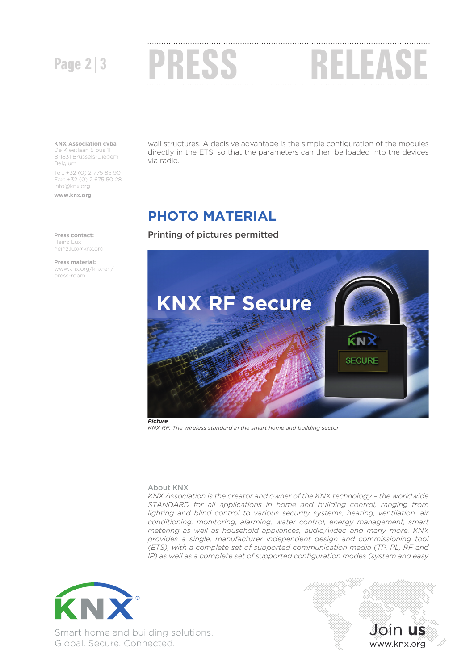

## **KNX Association cvba**

De Kleetlaan 5 bus 11 B-1831 Brussels-Diegem Belgium Tel.: +32 (0) 2 775 85 90 Fax: +32 (0) 2 675 50 28 info@knx.org

**www.knx.org**

wall structures. A decisive advantage is the simple configuration of the modules directly in the ETS, so that the parameters can then be loaded into the devices via radio.

## **PHOTO MATERIAL**

Printing of pictures permitted



*KNX RF: The wireless standard in the smart home and building sector*

## About KNX

*KNX Association is the creator and owner of the KNX technology – the worldwide STANDARD for all applications in home and building control, ranging from*  lighting and blind control to various security systems, heating, ventilation, air *conditioning, monitoring, alarming, water control, energy management, smart metering as well as household appliances, audio/video and many more. KNX provides a single, manufacturer independent design and commissioning tool (ETS), with a complete set of supported communication media (TP, PL, RF and IP*) as well as a complete set of supported configuration modes (system and easy





**Press contact:**  Heinz Lux heinz.lux@knx.org

**Press material:** www.knx.org/knx-en/ press-room